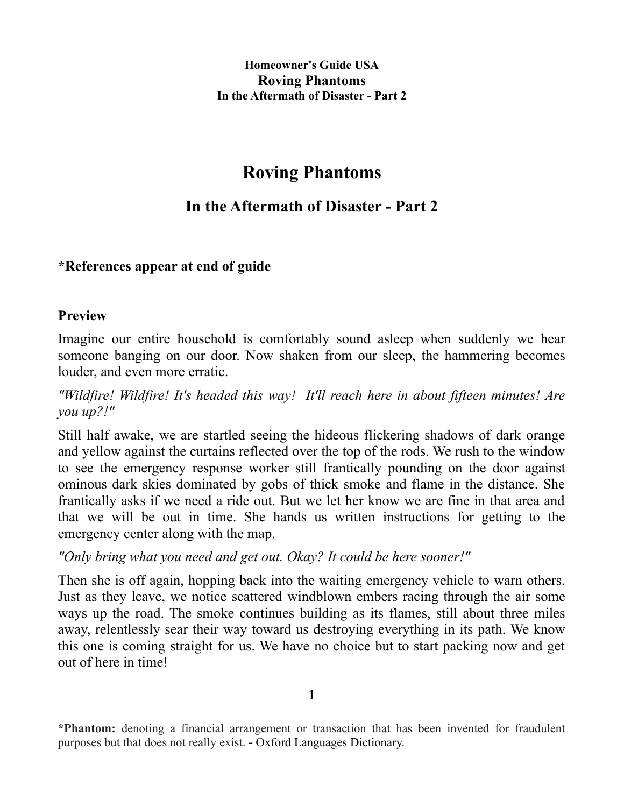# **Roving Phantoms**

# **In the Aftermath of Disaster - Part 2**

## **\*References appear at end of guide**

### **Preview**

Imagine our entire household is comfortably sound asleep when suddenly we hear someone banging on our door. Now shaken from our sleep, the hammering becomes louder, and even more erratic.

*"Wildfire! Wildfire! It's headed this way! It'll reach here in about fifteen minutes! Are you up?!"* 

Still half awake, we are startled seeing the hideous flickering shadows of dark orange and yellow against the curtains reflected over the top of the rods. We rush to the window to see the emergency response worker still frantically pounding on the door against ominous dark skies dominated by gobs of thick smoke and flame in the distance. She frantically asks if we need a ride out. But we let her know we are fine in that area and that we will be out in time. She hands us written instructions for getting to the emergency center along with the map.

## *"Only bring what you need and get out. Okay? It could be here sooner!"*

Then she is off again, hopping back into the waiting emergency vehicle to warn others. Just as they leave, we notice scattered windblown embers racing through the air some ways up the road. The smoke continues building as its flames, still about three miles away, relentlessly sear their way toward us destroying everything in its path. We know this one is coming straight for us. We have no choice but to start packing now and get out of here in time!

**<sup>\*</sup>Phantom:** denoting a financial arrangement or transaction that has been invented for fraudulent purposes but that does not really exist. **-** Oxford Languages Dictionary.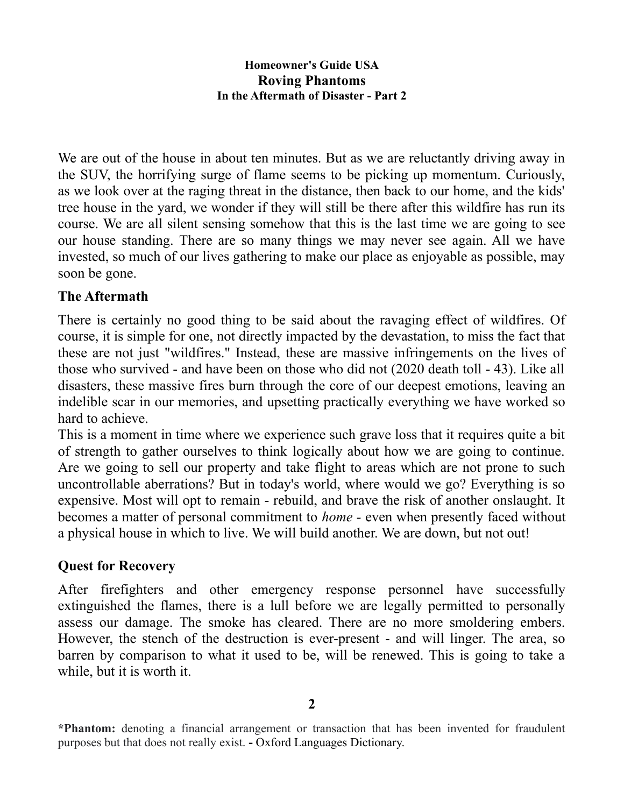We are out of the house in about ten minutes. But as we are reluctantly driving away in the SUV, the horrifying surge of flame seems to be picking up momentum. Curiously, as we look over at the raging threat in the distance, then back to our home, and the kids' tree house in the yard, we wonder if they will still be there after this wildfire has run its course. We are all silent sensing somehow that this is the last time we are going to see our house standing. There are so many things we may never see again. All we have invested, so much of our lives gathering to make our place as enjoyable as possible, may soon be gone.

# **The Aftermath**

There is certainly no good thing to be said about the ravaging effect of wildfires. Of course, it is simple for one, not directly impacted by the devastation, to miss the fact that these are not just "wildfires." Instead, these are massive infringements on the lives of those who survived - and have been on those who did not (2020 death toll - 43). Like all disasters, these massive fires burn through the core of our deepest emotions, leaving an indelible scar in our memories, and upsetting practically everything we have worked so hard to achieve.

This is a moment in time where we experience such grave loss that it requires quite a bit of strength to gather ourselves to think logically about how we are going to continue. Are we going to sell our property and take flight to areas which are not prone to such uncontrollable aberrations? But in today's world, where would we go? Everything is so expensive. Most will opt to remain - rebuild, and brave the risk of another onslaught. It becomes a matter of personal commitment to *home -* even when presently faced without a physical house in which to live. We will build another. We are down, but not out!

## **Quest for Recovery**

After firefighters and other emergency response personnel have successfully extinguished the flames, there is a lull before we are legally permitted to personally assess our damage. The smoke has cleared. There are no more smoldering embers. However, the stench of the destruction is ever-present - and will linger. The area, so barren by comparison to what it used to be, will be renewed. This is going to take a while, but it is worth it.

**<sup>2</sup>**

**<sup>\*</sup>Phantom:** denoting a financial arrangement or transaction that has been invented for fraudulent purposes but that does not really exist. **-** Oxford Languages Dictionary.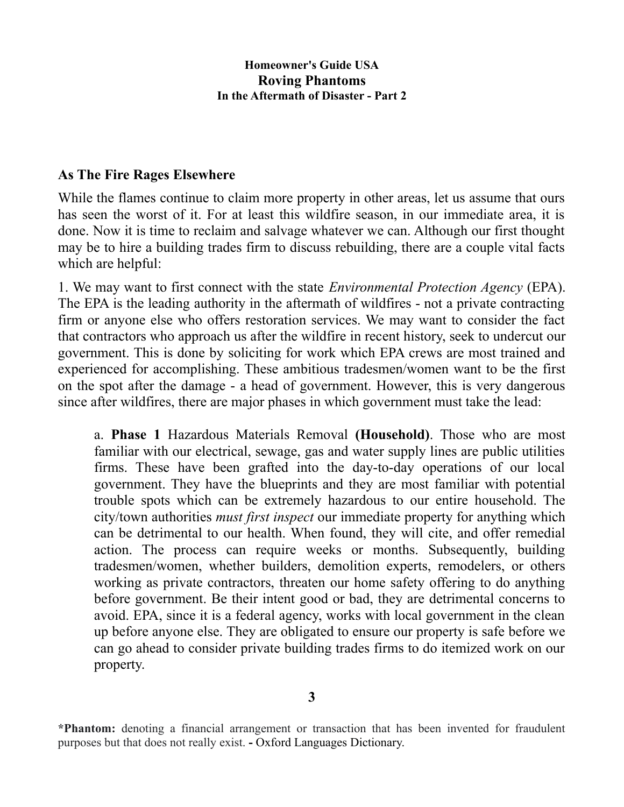### **As The Fire Rages Elsewhere**

While the flames continue to claim more property in other areas, let us assume that ours has seen the worst of it. For at least this wildfire season, in our immediate area, it is done. Now it is time to reclaim and salvage whatever we can. Although our first thought may be to hire a building trades firm to discuss rebuilding, there are a couple vital facts which are helpful:

1. We may want to first connect with the state *Environmental Protection Agency* (EPA). The EPA is the leading authority in the aftermath of wildfires - not a private contracting firm or anyone else who offers restoration services. We may want to consider the fact that contractors who approach us after the wildfire in recent history, seek to undercut our government. This is done by soliciting for work which EPA crews are most trained and experienced for accomplishing. These ambitious tradesmen/women want to be the first on the spot after the damage - a head of government. However, this is very dangerous since after wildfires, there are major phases in which government must take the lead:

a. **Phase 1** Hazardous Materials Removal **(Household)**. Those who are most familiar with our electrical, sewage, gas and water supply lines are public utilities firms. These have been grafted into the day-to-day operations of our local government. They have the blueprints and they are most familiar with potential trouble spots which can be extremely hazardous to our entire household. The city/town authorities *must first inspect* our immediate property for anything which can be detrimental to our health. When found, they will cite, and offer remedial action. The process can require weeks or months. Subsequently, building tradesmen/women, whether builders, demolition experts, remodelers, or others working as private contractors, threaten our home safety offering to do anything before government. Be their intent good or bad, they are detrimental concerns to avoid. EPA, since it is a federal agency, works with local government in the clean up before anyone else. They are obligated to ensure our property is safe before we can go ahead to consider private building trades firms to do itemized work on our property.

**<sup>\*</sup>Phantom:** denoting a financial arrangement or transaction that has been invented for fraudulent purposes but that does not really exist. **-** Oxford Languages Dictionary.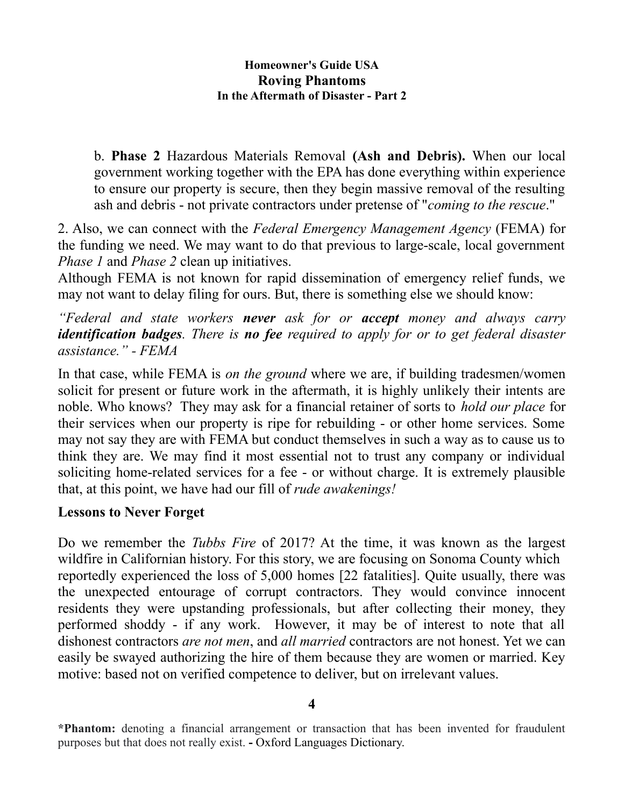b. **Phase 2** Hazardous Materials Removal **(Ash and Debris).** When our local government working together with the EPA has done everything within experience to ensure our property is secure, then they begin massive removal of the resulting ash and debris - not private contractors under pretense of "*coming to the rescue*."

2. Also, we can connect with the *Federal Emergency Management Agency* (FEMA) for the funding we need. We may want to do that previous to large-scale, local government *Phase 1* and *Phase 2* clean up initiatives.

Although FEMA is not known for rapid dissemination of emergency relief funds, we may not want to delay filing for ours. But, there is something else we should know:

*"Federal and state workers never ask for or accept money and always carry identification badges. There is no fee required to apply for or to get federal disaster assistance." - FEMA*

In that case, while FEMA is *on the ground* where we are, if building tradesmen/women solicit for present or future work in the aftermath, it is highly unlikely their intents are noble. Who knows? They may ask for a financial retainer of sorts to *hold our place* for their services when our property is ripe for rebuilding - or other home services. Some may not say they are with FEMA but conduct themselves in such a way as to cause us to think they are. We may find it most essential not to trust any company or individual soliciting home-related services for a fee - or without charge. It is extremely plausible that, at this point, we have had our fill of *rude awakenings!*

## **Lessons to Never Forget**

Do we remember the *Tubbs Fire* of 2017? At the time, it was known as the largest wildfire in Californian history. For this story, we are focusing on Sonoma County which reportedly experienced the loss of 5,000 homes [22 fatalities]. Quite usually, there was the unexpected entourage of corrupt contractors. They would convince innocent residents they were upstanding professionals, but after collecting their money, they performed shoddy - if any work. However, it may be of interest to note that all dishonest contractors *are not men*, and *all married* contractors are not honest. Yet we can easily be swayed authorizing the hire of them because they are women or married. Key motive: based not on verified competence to deliver, but on irrelevant values.

**<sup>\*</sup>Phantom:** denoting a financial arrangement or transaction that has been invented for fraudulent purposes but that does not really exist. **-** Oxford Languages Dictionary.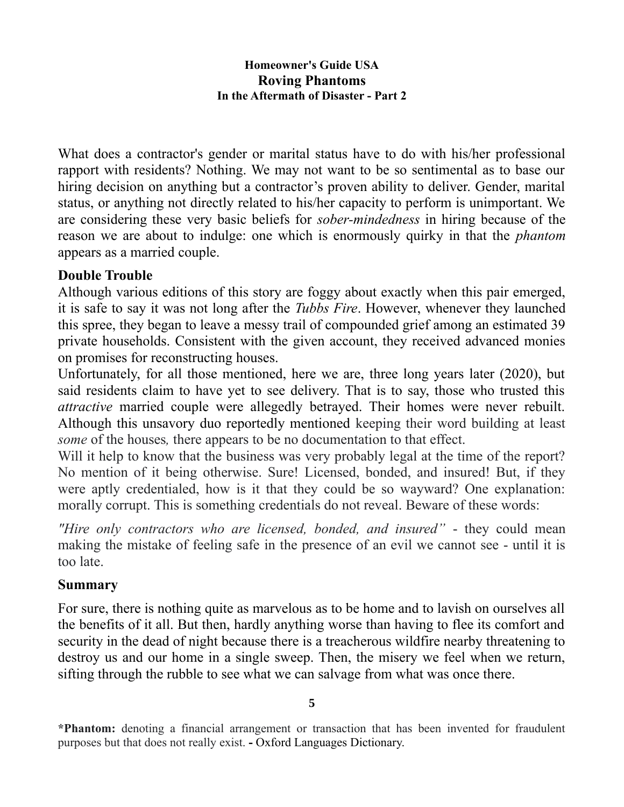What does a contractor's gender or marital status have to do with his/her professional rapport with residents? Nothing. We may not want to be so sentimental as to base our hiring decision on anything but a contractor's proven ability to deliver. Gender, marital status, or anything not directly related to his/her capacity to perform is unimportant. We are considering these very basic beliefs for *sober-mindedness* in hiring because of the reason we are about to indulge: one which is enormously quirky in that the *phantom* appears as a married couple.

## **Double Trouble**

Although various editions of this story are foggy about exactly when this pair emerged, it is safe to say it was not long after the *Tubbs Fire*. However, whenever they launched this spree, they began to leave a messy trail of compounded grief among an estimated 39 private households. Consistent with the given account, they received advanced monies on promises for reconstructing houses.

Unfortunately, for all those mentioned, here we are, three long years later (2020), but said residents claim to have yet to see delivery. That is to say, those who trusted this *attractive* married couple were allegedly betrayed. Their homes were never rebuilt. Although this unsavory duo reportedly mentioned keeping their word building at least *some* of the houses*,* there appears to be no documentation to that effect.

Will it help to know that the business was very probably legal at the time of the report? No mention of it being otherwise. Sure! Licensed, bonded, and insured! But, if they were aptly credentialed, how is it that they could be so wayward? One explanation: morally corrupt. This is something credentials do not reveal. Beware of these words:

*"Hire only contractors who are licensed, bonded, and insured"* - they could mean making the mistake of feeling safe in the presence of an evil we cannot see - until it is too late.

## **Summary**

For sure, there is nothing quite as marvelous as to be home and to lavish on ourselves all the benefits of it all. But then, hardly anything worse than having to flee its comfort and security in the dead of night because there is a treacherous wildfire nearby threatening to destroy us and our home in a single sweep. Then, the misery we feel when we return, sifting through the rubble to see what we can salvage from what was once there.

**<sup>5</sup>**

**<sup>\*</sup>Phantom:** denoting a financial arrangement or transaction that has been invented for fraudulent purposes but that does not really exist. **-** Oxford Languages Dictionary.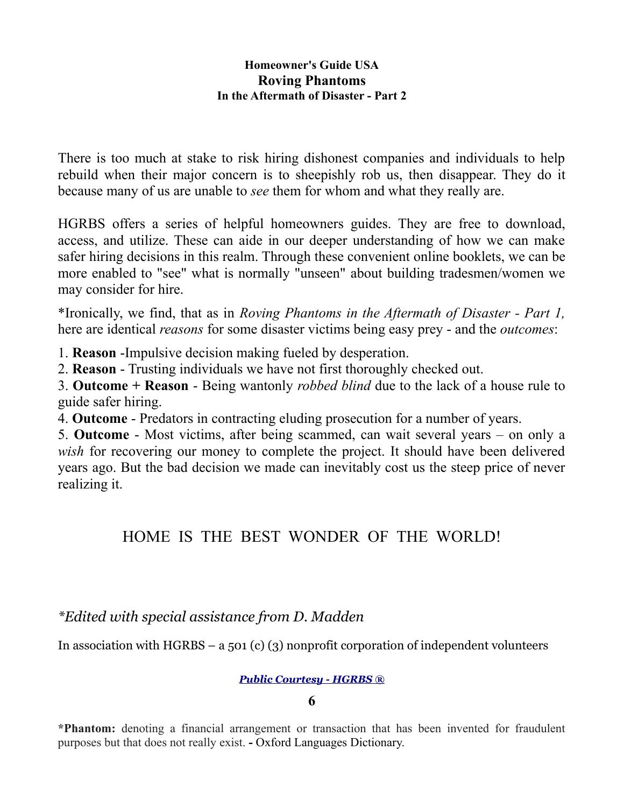There is too much at stake to risk hiring dishonest companies and individuals to help rebuild when their major concern is to sheepishly rob us, then disappear. They do it because many of us are unable to *see* them for whom and what they really are.

HGRBS offers a series of helpful homeowners guides. They are free to download, access, and utilize. These can aide in our deeper understanding of how we can make safer hiring decisions in this realm. Through these convenient online booklets, we can be more enabled to "see" what is normally "unseen" about building tradesmen/women we may consider for hire.

\*Ironically, we find, that as in *Roving Phantoms in the Aftermath of Disaster - Part 1,* here are identical *reasons* for some disaster victims being easy prey - and the *outcomes*:

1. **Reason** -Impulsive decision making fueled by desperation.

2. **Reason** - Trusting individuals we have not first thoroughly checked out.

3. **Outcome + Reason** - Being wantonly *robbed blind* due to the lack of a house rule to guide safer hiring.

4. **Outcome** - Predators in contracting eluding prosecution for a number of years.

5. **Outcome** - Most victims, after being scammed, can wait several years – on only a *wish* for recovering our money to complete the project. It should have been delivered years ago. But the bad decision we made can inevitably cost us the steep price of never realizing it.

# HOME IS THE BEST WONDER OF THE WORLD!

# *\*Edited with special assistance from D. Madden*

In association with HGRBS – a 501 (c) (3) nonprofit corporation of independent volunteers

#### *[Public Courtesy - HGRBS ®](https://www.hgrbs-flagship.com/)*

**\*Phantom:** denoting a financial arrangement or transaction that has been invented for fraudulent purposes but that does not really exist. **-** Oxford Languages Dictionary.